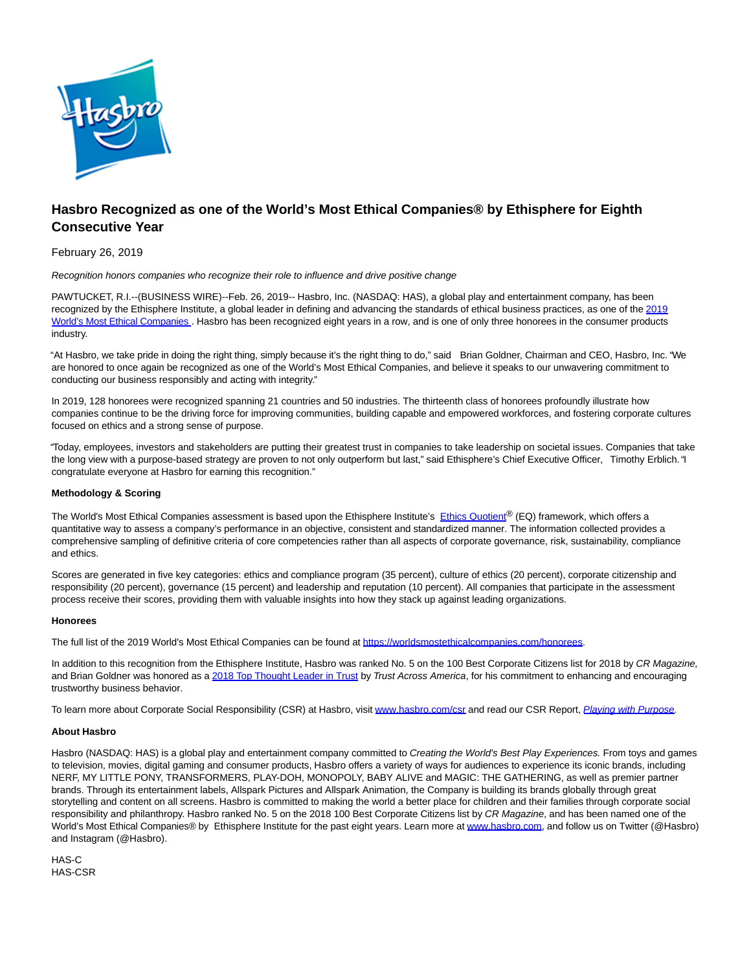

# **Hasbro Recognized as one of the World's Most Ethical Companies® by Ethisphere for Eighth Consecutive Year**

## February 26, 2019

Recognition honors companies who recognize their role to influence and drive positive change

PAWTUCKET, R.I.--(BUSINESS WIRE)--Feb. 26, 2019-- Hasbro, Inc. (NASDAQ: HAS), a global play and entertainment company, has been recognized by the Ethisphere Institute, a global leader in defining and advancing the standards of ethical business practices, as one of the [2019](https://cts.businesswire.com/ct/CT?id=smartlink&url=https%3A%2F%2Fworldsmostethicalcompanies.com%2Fhonorees&esheet=51944274&newsitemid=20190226005019&lan=en-US&anchor=2019+World%27s+Most+Ethical+Companies&index=1&md5=9533addb244651eac65abf6fb85a8aa8) World's Most Ethical Companies . Hasbro has been recognized eight years in a row, and is one of only three honorees in the consumer products industry.

"At Hasbro, we take pride in doing the right thing, simply because it's the right thing to do," said Brian Goldner, Chairman and CEO, Hasbro, Inc. "We are honored to once again be recognized as one of the World's Most Ethical Companies, and believe it speaks to our unwavering commitment to conducting our business responsibly and acting with integrity."

In 2019, 128 honorees were recognized spanning 21 countries and 50 industries. The thirteenth class of honorees profoundly illustrate how companies continue to be the driving force for improving communities, building capable and empowered workforces, and fostering corporate cultures focused on ethics and a strong sense of purpose.

"Today, employees, investors and stakeholders are putting their greatest trust in companies to take leadership on societal issues. Companies that take the long view with a purpose-based strategy are proven to not only outperform but last," said Ethisphere's Chief Executive Officer, Timothy Erblich. "I congratulate everyone at Hasbro for earning this recognition."

### **Methodology & Scoring**

The World's Most Ethical Companies assessment is based upon the Ethisphere Institute's [Ethics Quotient](https://cts.businesswire.com/ct/CT?id=smartlink&url=http%3A%2F%2Fworldsmostethicalcompanies.com%2F&esheet=51944274&newsitemid=20190226005019&lan=en-US&anchor=Ethics+Quotient&index=2&md5=0a40b475bc343570871a32a92f2864f4)® (EQ) framework, which offers a quantitative way to assess a company's performance in an objective, consistent and standardized manner. The information collected provides a comprehensive sampling of definitive criteria of core competencies rather than all aspects of corporate governance, risk, sustainability, compliance and ethics.

Scores are generated in five key categories: ethics and compliance program (35 percent), culture of ethics (20 percent), corporate citizenship and responsibility (20 percent), governance (15 percent) and leadership and reputation (10 percent). All companies that participate in the assessment process receive their scores, providing them with valuable insights into how they stack up against leading organizations.

### **Honorees**

The full list of the 2019 World's Most Ethical Companies can be found a[t https://worldsmostethicalcompanies.com/honorees.](https://cts.businesswire.com/ct/CT?id=smartlink&url=https%3A%2F%2Fworldsmostethicalcompanies.com%2Fhonorees&esheet=51944274&newsitemid=20190226005019&lan=en-US&anchor=https%3A%2F%2Fworldsmostethicalcompanies.com%2Fhonorees&index=3&md5=55151458ead3911b9adeefc8634b21c2)

In addition to this recognition from the Ethisphere Institute, Hasbro was ranked No. 5 on the 100 Best Corporate Citizens list for 2018 by CR Magazine, and Brian Goldner was honored as [a 2018 Top Thought Leader in Trust b](https://cts.businesswire.com/ct/CT?id=smartlink&url=http%3A%2F%2Ftrustacrossamerica.com%2Fdocuments%2Fmagazine%2FTrust-Magazine-2018-winter.pdf&esheet=51944274&newsitemid=20190226005019&lan=en-US&anchor=2018+Top+Thought+Leader+in+Trust&index=4&md5=5921428fc0e2146c9bc1f7cf07d7b9ff)y Trust Across America, for his commitment to enhancing and encouraging trustworthy business behavior.

To learn more about Corporate Social Responsibility (CSR) at Hasbro, visit [www.hasbro.com/csr a](https://cts.businesswire.com/ct/CT?id=smartlink&url=http%3A%2F%2Fwww.hasbro.com%2Fcsr&esheet=51944274&newsitemid=20190226005019&lan=en-US&anchor=www.hasbro.com%2Fcsr&index=5&md5=a1a3dc27ee9de096908183ddc8434d1a)nd read our CSR Report, [Playing with Purpose.](https://cts.businesswire.com/ct/CT?id=smartlink&url=https%3A%2F%2Fcsr.hasbro.com%2Fdownloads%2FCSR_2016_Report.pdf&esheet=51944274&newsitemid=20190226005019&lan=en-US&anchor=Playing+with+Purpose&index=6&md5=7241825029296c0334fcf282e9e93d4a)

### **About Hasbro**

Hasbro (NASDAQ: HAS) is a global play and entertainment company committed to Creating the World's Best Play Experiences. From toys and games to television, movies, digital gaming and consumer products, Hasbro offers a variety of ways for audiences to experience its iconic brands, including NERF, MY LITTLE PONY, TRANSFORMERS, PLAY-DOH, MONOPOLY, BABY ALIVE and MAGIC: THE GATHERING, as well as premier partner brands. Through its entertainment labels, Allspark Pictures and Allspark Animation, the Company is building its brands globally through great storytelling and content on all screens. Hasbro is committed to making the world a better place for children and their families through corporate social responsibility and philanthropy. Hasbro ranked No. 5 on the 2018 100 Best Corporate Citizens list by CR Magazine, and has been named one of the World's Most Ethical Companies® by Ethisphere Institute for the past eight years. Learn more at [www.hasbro.com,](https://cts.businesswire.com/ct/CT?id=smartlink&url=http%3A%2F%2Fwww.hasbro.com&esheet=51944274&newsitemid=20190226005019&lan=en-US&anchor=www.hasbro.com&index=7&md5=cba3e1f08873db51e8074583c3e2171b) and follow us on Twitter (@Hasbro) and Instagram (@Hasbro).

HAS-C HAS-CSR